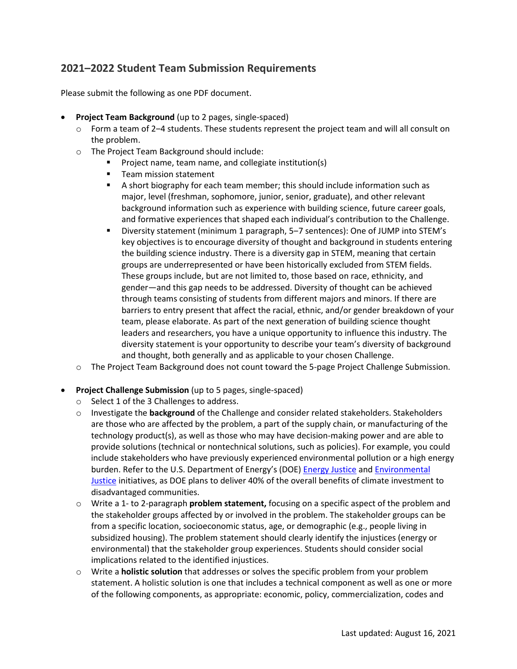## **2021–2022 Student Team Submission Requirements**

Please submit the following as one PDF document.

- **Project Team Background** (up to 2 pages, single-spaced)
	- $\circ$  Form a team of 2–4 students. These students represent the project team and will all consult on the problem.
	- o The Project Team Background should include:
		- **Project name, team name, and collegiate institution(s)**
		- **Team mission statement**
		- A short biography for each team member; this should include information such as major, level (freshman, sophomore, junior, senior, graduate), and other relevant background information such as experience with building science, future career goals, and formative experiences that shaped each individual's contribution to the Challenge.
		- Diversity statement (minimum 1 paragraph, 5‒7 sentences): One of JUMP into STEM's key objectives is to encourage diversity of thought and background in students entering the building science industry. There is a diversity gap in STEM, meaning that certain groups are underrepresented or have been historically excluded from STEM fields. These groups include, but are not limited to, those based on race, ethnicity, and gender—and this gap needs to be addressed. Diversity of thought can be achieved through teams consisting of students from different majors and minors. If there are barriers to entry present that affect the racial, ethnic, and/or gender breakdown of your team, please elaborate. As part of the next generation of building science thought leaders and researchers, you have a unique opportunity to influence this industry. The diversity statement is your opportunity to describe your team's diversity of background and thought, both generally and as applicable to your chosen Challenge.
	- o The Project Team Background does not count toward the 5-page Project Challenge Submission.
- **Project Challenge Submission** (up to 5 pages, single-spaced)
	- o Select 1 of the 3 Challenges to address.
	- o Investigate the **background** of the Challenge and consider related stakeholders. Stakeholders are those who are affected by the problem, a part of the supply chain, or manufacturing of the technology product(s), as well as those who may have decision-making power and are able to provide solutions (technical or nontechnical solutions, such as policies). For example, you could include stakeholders who have previously experienced environmental pollution or a high energy burden. Refer to the U.S. Department of Energy's (DOE) [Energy Justice](https://www.energy.gov/promoting-energy-justice) and [Environmental](https://www.energy.gov/lm/environmental-justice)  [Justice](https://www.energy.gov/lm/environmental-justice) initiatives, as DOE plans to deliver 40% of the overall benefits of climate investment to disadvantaged communities.
	- o Write a 1- to 2-paragraph **problem statement,** focusing on a specific aspect of the problem and the stakeholder groups affected by or involved in the problem. The stakeholder groups can be from a specific location, socioeconomic status, age, or demographic (e.g., people living in subsidized housing). The problem statement should clearly identify the injustices (energy or environmental) that the stakeholder group experiences. Students should consider social implications related to the identified injustices.
	- o Write a **holistic solution** that addresses or solves the specific problem from your problem statement. A holistic solution is one that includes a technical component as well as one or more of the following components, as appropriate: economic, policy, commercialization, codes and